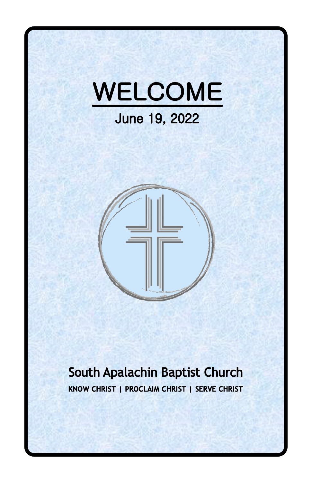



## South Apalachin Baptist Church KNOW CHRIST | PROCLAIM CHRIST | SERVE CHRIST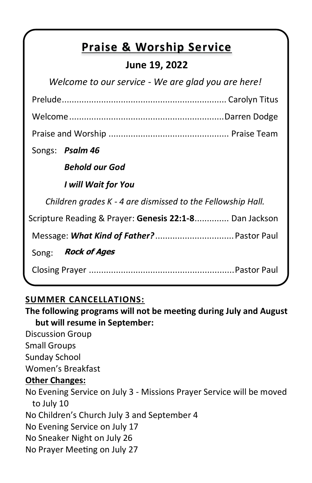## **Praise & Worship Service**

## **June 19, 2022**

| Welcome to our service - We are glad you are here!          |  |  |  |
|-------------------------------------------------------------|--|--|--|
|                                                             |  |  |  |
|                                                             |  |  |  |
|                                                             |  |  |  |
| Songs: Psalm 46                                             |  |  |  |
| <b>Behold our God</b>                                       |  |  |  |
| I will Wait for You                                         |  |  |  |
| Children grades K - 4 are dismissed to the Fellowship Hall. |  |  |  |
| Scripture Reading & Prayer: Genesis 22:1-8 Dan Jackson      |  |  |  |
|                                                             |  |  |  |
| Rock of Ages<br>Song:                                       |  |  |  |
|                                                             |  |  |  |
|                                                             |  |  |  |

#### **SUMMER CANCELLATIONS:**

**The following programs will not be meeting during July and August but will resume in September:**

Discussion Group

Small Groups

Sunday School

Women's Breakfast

#### **Other Changes:**

No Evening Service on July 3 - Missions Prayer Service will be moved to July 10 No Children's Church July 3 and September 4 No Evening Service on July 17 No Sneaker Night on July 26 No Prayer Meeting on July 27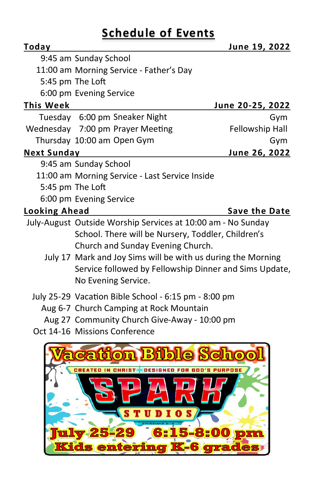# **Schedule of Events**

| Today                |                                                                                                                                                                                                                                                                                   | June 19, 2022        |  |
|----------------------|-----------------------------------------------------------------------------------------------------------------------------------------------------------------------------------------------------------------------------------------------------------------------------------|----------------------|--|
|                      | 9:45 am Sunday School                                                                                                                                                                                                                                                             |                      |  |
|                      | 11:00 am Morning Service - Father's Day                                                                                                                                                                                                                                           |                      |  |
|                      | 5:45 pm The Loft                                                                                                                                                                                                                                                                  |                      |  |
|                      | 6:00 pm Evening Service                                                                                                                                                                                                                                                           |                      |  |
| <b>This Week</b>     |                                                                                                                                                                                                                                                                                   | June 20-25, 2022     |  |
|                      | Tuesday 6:00 pm Sneaker Night                                                                                                                                                                                                                                                     | Gym                  |  |
|                      | Wednesday 7:00 pm Prayer Meeting                                                                                                                                                                                                                                                  | Fellowship Hall      |  |
|                      | Thursday 10:00 am Open Gym                                                                                                                                                                                                                                                        | Gym                  |  |
| <b>Next Sunday</b>   |                                                                                                                                                                                                                                                                                   | June 26, 2022        |  |
|                      | 9:45 am Sunday School                                                                                                                                                                                                                                                             |                      |  |
|                      | 11:00 am Morning Service - Last Service Inside                                                                                                                                                                                                                                    |                      |  |
|                      | 5:45 pm The Loft                                                                                                                                                                                                                                                                  |                      |  |
|                      | 6:00 pm Evening Service                                                                                                                                                                                                                                                           |                      |  |
| <b>Looking Ahead</b> |                                                                                                                                                                                                                                                                                   | <b>Save the Date</b> |  |
|                      | July-August Outside Worship Services at 10:00 am - No Sunday<br>School. There will be Nursery, Toddler, Children's<br>Church and Sunday Evening Church.<br>July 17 Mark and Joy Sims will be with us during the Morning<br>Service followed by Fellowship Dinner and Sims Update, |                      |  |
|                      | No Evening Service.<br>July 25-29 Vacation Bible School - 6:15 pm - 8:00 pm<br>Aug 6-7 Church Camping at Rock Mountain<br>Aug 27 Community Church Give-Away - 10:00 pm                                                                                                            |                      |  |

Oct 14-16 Missions Conference